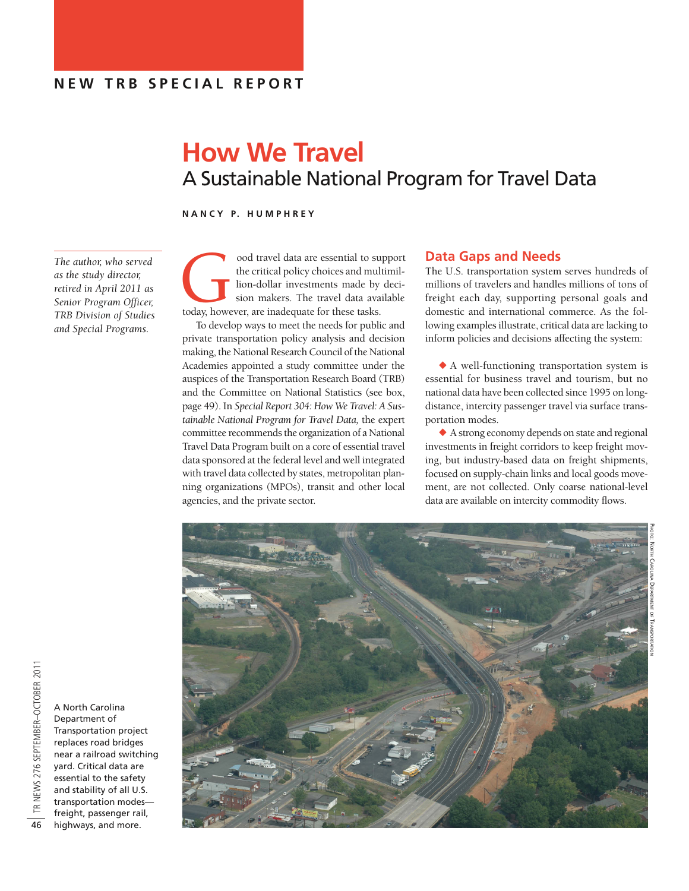# **How We Travel** A Sustainable National Program for Travel Data

**N A N C Y P. H U M P H R E Y**

*The author, who served as the study director, retired in April 2011 as Senior Program Officer, TRB Division of Studies and Special Programs.*

ood travel data are essential to support the critical policy choices and multimilion-dollar investments made by decision makers. The travel data available today, however, are inadequate for these tasks. the critical policy choices and multimillion-dollar investments made by decision makers. The travel data available

To develop ways to meet the needs for public and private transportation policy analysis and decision making, the National Research Council of the National Academies appointed a study committee under the auspices of the Transportation Research Board (TRB) and the Committee on National Statistics (see box, page 49). In *Special Report 304: How We Travel: A Sustainable National Program for Travel Data,* the expert committee recommends the organization of a National Travel Data Program built on a core of essential travel data sponsored at the federal level and well integrated with travel data collected by states, metropolitan planning organizations (MPOs), transit and other local agencies, and the private sector.

# **Data Gaps and Needs**

The U.S. transportation system serves hundreds of millions of travelers and handles millions of tons of freight each day, supporting personal goals and domestic and international commerce. As the following examples illustrate, critical data are lacking to inform policies and decisions affecting the system:

 $\blacklozenge$  A well-functioning transportation system is essential for business travel and tourism, but no national data have been collected since 1995 on longdistance, intercity passenger travel via surface transportation modes.

 $\blacklozenge$  A strong economy depends on state and regional investments in freight corridors to keep freight moving, but industry-based data on freight shipments, focused on supply-chain links and local goods movement, are not collected. Only coarse national-level data are available on intercity commodity flows.



A North Carolina Department of Transportation project replaces road bridges near a railroad switching yard. Critical data are essential to the safety and stability of all U.S. transportation modes freight, passenger rail, highways, and more.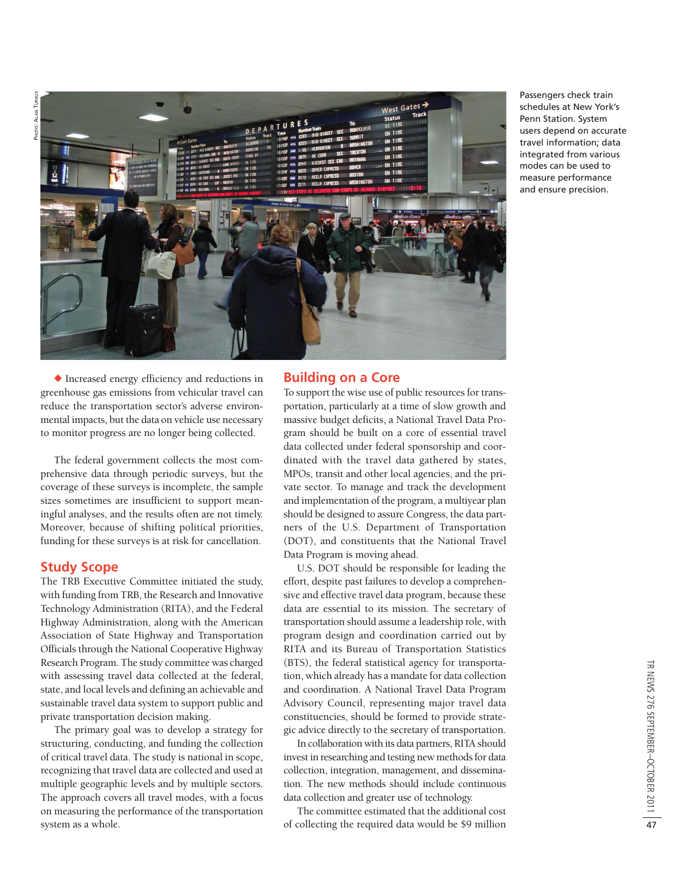

Passengers check train schedules at New York's Penn Station. System users depend on accurate travel information; data integrated from various modes can be used to measure performance and ensure precision.

 $\blacklozenge$  Increased energy efficiency and reductions in greenhouse gas emissions from vehicular travel can reduce the transportation sector's adverse environmental impacts, but the data on vehicle use necessary to monitor progress are no longer being collected.

The federal government collects the most comprehensive data through periodic surveys, but the coverage of these surveys is incomplete, the sample sizes sometimes are insufficient to support meaningful analyses, and the results often are not timely. Moreover, because of shifting political priorities, funding for these surveys is at risk for cancellation.

#### **Study Scope**

The TRB Executive Committee initiated the study, with funding from TRB, the Research and Innovative Technology Administration (RITA), and the Federal Highway Administration, along with the American Association of State Highway and Transportation Officials through the National Cooperative Highway Research Program. The study committee was charged with assessing travel data collected at the federal, state, and local levels and defining an achievable and sustainable travel data system to support public and private transportation decision making.

The primary goal was to develop a strategy for structuring, conducting, and funding the collection of critical travel data. The study is national in scope, recognizing that travel data are collected and used at multiple geographic levels and by multiple sectors. The approach covers all travel modes, with a focus on measuring the performance of the transportation system as a whole.

## **Building on a Core**

To support the wise use of public resources for transportation, particularly at a time of slow growth and massive budget deficits, a National Travel Data Program should be built on a core of essential travel data collected under federal sponsorship and coordinated with the travel data gathered by states, MPOs, transit and other local agencies, and the private sector. To manage and track the development and implementation of the program, a multiyear plan should be designed to assure Congress, the data partners of the U.S. Department of Transportation (DOT), and constituents that the National Travel Data Program is moving ahead.

U.S. DOT should be responsible for leading the effort, despite past failures to develop a comprehensive and effective travel data program, because these data are essential to its mission. The secretary of transportation should assume a leadership role, with program design and coordination carried out by RITA and its Bureau of Transportation Statistics (BTS), the federal statistical agency for transportation, which already has a mandate for data collection and coordination. A National Travel Data Program Advisory Council, representing major travel data constituencies, should be formed to provide strategic advice directly to the secretary of transportation.

In collaboration with its data partners, RITA should invest in researching and testing new methods for data collection, integration, management, and dissemination. The new methods should include continuous data collection and greater use of technology.

The committee estimated that the additional cost of collecting the required data would be \$9 million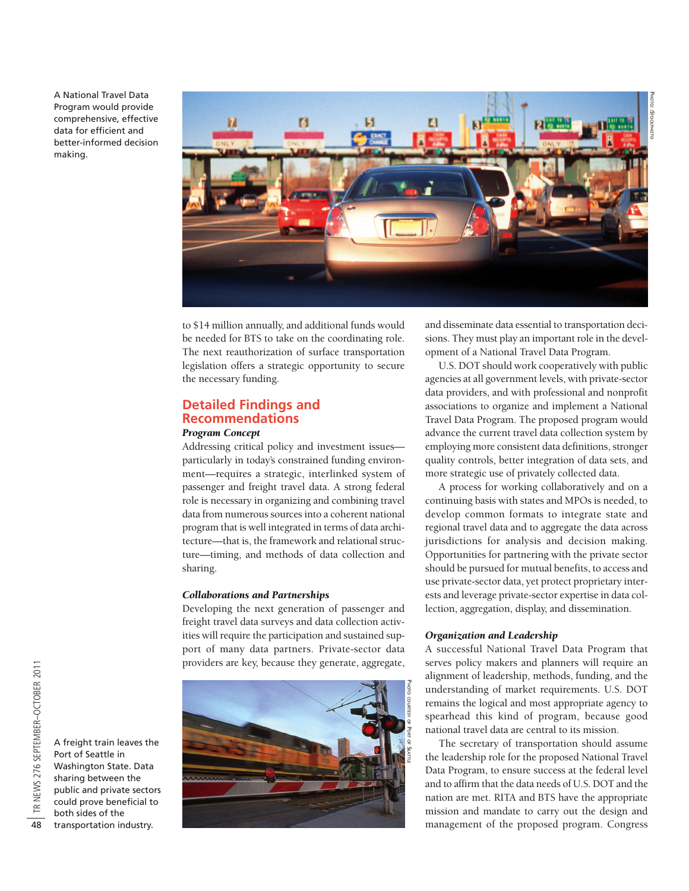A National Travel Data Program would provide comprehensive, effective data for efficient and better-informed decision making.



to \$14 million annually, and additional funds would be needed for BTS to take on the coordinating role. The next reauthorization of surface transportation legislation offers a strategic opportunity to secure the necessary funding.

# **Detailed Findings and Recommendations**

#### *Program Concept*

Addressing critical policy and investment issues particularly in today's constrained funding environment—requires a strategic, interlinked system of passenger and freight travel data. A strong federal role is necessary in organizing and combining travel data from numerous sources into a coherent national program that is well integrated in terms of data architecture—that is, the framework and relational structure—timing, and methods of data collection and sharing.

#### *Collaborations and Partnerships*

Developing the next generation of passenger and freight travel data surveys and data collection activities will require the participation and sustained support of many data partners. Private-sector data providers are key, because they generate, aggregate,



and disseminate data essential to transportation decisions. They must play an important role in the development of a National Travel Data Program.

U.S. DOT should work cooperatively with public agencies at all government levels, with private-sector data providers, and with professional and nonprofit associations to organize and implement a National Travel Data Program. The proposed program would advance the current travel data collection system by employing more consistent data definitions, stronger quality controls, better integration of data sets, and more strategic use of privately collected data.

A process for working collaboratively and on a continuing basis with states and MPOs is needed, to develop common formats to integrate state and regional travel data and to aggregate the data across jurisdictions for analysis and decision making. Opportunities for partnering with the private sector should be pursued for mutual benefits, to access and use private-sector data, yet protect proprietary interests and leverage private-sector expertise in data collection, aggregation, display, and dissemination.

#### *Organization and Leadership*

A successful National Travel Data Program that serves policy makers and planners will require an alignment of leadership, methods, funding, and the understanding of market requirements. U.S. DOT remains the logical and most appropriate agency to spearhead this kind of program, because good national travel data are central to its mission.

The secretary of transportation should assume the leadership role for the proposed National Travel Data Program, to ensure success at the federal level and to affirm that the data needs of U.S. DOT and the nation are met. RITA and BTS have the appropriate mission and mandate to carry out the design and management of the proposed program. Congress

transportation industry.